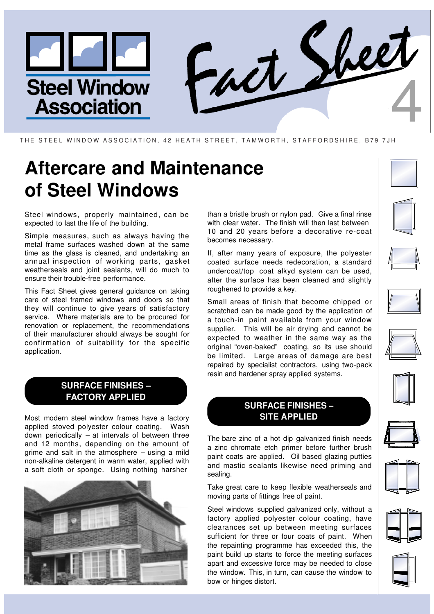

#### THE STEEL WINDOW ASSOCIATION, 42 HEATH STREET, TAMWORTH, STAFFORDSHIRE, B79 7JH

# **Aftercare and Maintenance of Steel Windows**

Steel windows, properly maintained, can be expected to last the life of the building.

Simple measures, such as always having the metal frame surfaces washed down at the same time as the glass is cleaned, and undertaking an annual inspection of working parts, gasket weatherseals and joint sealants, will do much to ensure their trouble-free performance.

This Fact Sheet gives general guidance on taking care of steel framed windows and doors so that they will continue to give years of satisfactory service. Where materials are to be procured for renovation or replacement, the recommendations of their manufacturer should always be sought for confirmation of suitability for the specific application.

## **SURFACE FINISHES – FACTORY APPLIED**

Most modern steel window frames have a factory applied stoved polyester colour coating. Wash down periodically – at intervals of between three and 12 months, depending on the amount of grime and salt in the atmosphere – using a mild non-alkaline detergent in warm water, applied with a soft cloth or sponge. Using nothing harsher



than a bristle brush or nylon pad. Give a final rinse with clear water. The finish will then last between 10 and 20 years before a decorative re-coat becomes necessary.

If, after many years of exposure, the polyester coated surface needs redecoration, a standard undercoat/top coat alkyd system can be used, after the surface has been cleaned and slightly roughened to provide a key.

Small areas of finish that become chipped or scratched can be made good by the application of a touch-in paint available from your window supplier. This will be air drying and cannot be expected to weather in the same way as the original "oven-baked" coating, so its use should be limited. Large areas of damage are best repaired by specialist contractors, using two-pack resin and hardener spray applied systems.

### **SURFACE FINISHES – SITE APPLIED**

The bare zinc of a hot dip galvanized finish needs a zinc chromate etch primer before further brush paint coats are applied. Oil based glazing putties and mastic sealants likewise need priming and sealing.

Take great care to keep flexible weatherseals and moving parts of fittings free of paint.

Steel windows supplied galvanized only, without a factory applied polyester colour coating, have clearances set up between meeting surfaces sufficient for three or four coats of paint. When the repainting programme has exceeded this, the paint build up starts to force the meeting surfaces apart and excessive force may be needed to close the window. This, in turn, can cause the window to bow or hinges distort.



















![](_page_0_Picture_25.jpeg)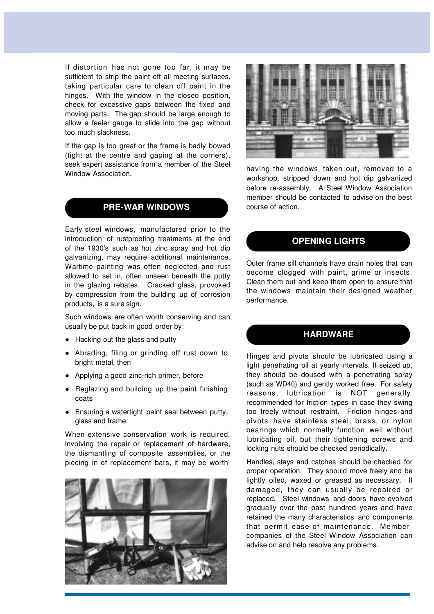If distortion has not gone too far, it may be sufficient to strip the paint off all meeting surfaces, taking particular care to clean off paint in the hinges. With the window in the closed position, check for excessive gaps between the fixed and moving parts. The gap should be large enough to allow a feeler gauge to slide into the gap without too much slackness.

If the gap is too great or the frame is badly bowed (tight at the centre and gaping at the corners), seek expert assistance from a member of the Steel Window Association.

#### **PRE-WAR WINDOWS**

Early steel windows, manufactured prior to the introduction of rustproofing treatments at the end of the 1930's such as hot zinc spray and hot dip galvanizing, may require additional maintenance. Wartime painting was often neglected and rust allowed to set in, often unseen beneath the putty in the glazing rebates. Cracked glass, provoked by compression from the building up of corrosion products, is a sure sign.

Such windows are often worth conserving and can usually be put back in good order by:

- Hacking out the glass and putty
- Abrading, filing or grinding off rust down to bright metal, then
- Applying a good zinc-rich primer, before
- Reglazing and building up the paint finishing coats
- Ensuring a watertight paint seal between putty, glass and frame.

When extensive conservation work is required, involving the repair or replacement of hardware, the dismantling of composite assemblies, or the piecing in of replacement bars, it may be worth

![](_page_1_Picture_11.jpeg)

![](_page_1_Picture_12.jpeg)

having the windows taken out, removed to a workshop, stripped down and hot dip galvanized before re-assembly. A Steel Window Association member should be contacted to advise on the best course of action.

#### **OPENING LIGHTS**

Outer frame sill channels have drain holes that can become clogged with paint, grime or insects. Clean them out and keep them open to ensure that the windows maintain their designed weather performance.

#### **HARDWARE**

Hinges and pivots should be lubricated using a light penetrating oil at yearly intervals. If seized up, they should be doused with a penetrating spray (such as WD40) and gently worked free. For safety reasons, lubrication is NOT generally recommended for friction types in case they swing too freely without restraint. Friction hinges and pivots have stainless steel, brass, or nylon bearings which normally function well without lubricating oil, but their tightening screws and locking nuts should be checked periodically.

Handles, stays and catches should be checked for proper operation. They should move freely and be lightly oiled, waxed or greased as necessary. If damaged, they can usually be repaired or replaced. Steel windows and doors have evolved gradually over the past hundred years and have retained the many characteristics and components that permit ease of maintenance. Member companies of the Steel Window Association can advise on and help resolve any problems.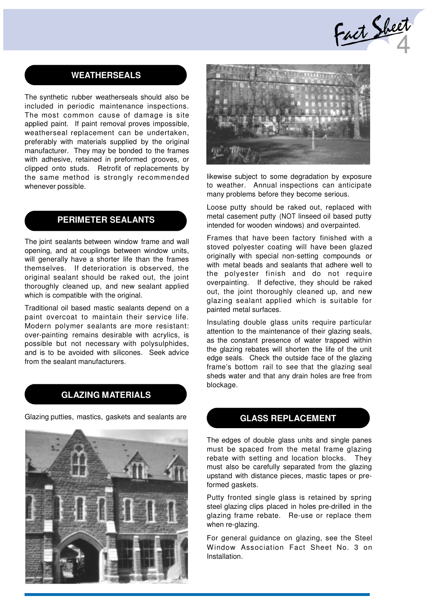Fact Sheet

### **WEATHERSEALS**

The synthetic rubber weatherseals should also be included in periodic maintenance inspections. The most common cause of damage is site applied paint. If paint removal proves impossible, weatherseal replacement can be undertaken, preferably with materials supplied by the original manufacturer. They may be bonded to the frames with adhesive, retained in preformed grooves, or clipped onto studs. Retrofit of replacements by the same method is strongly recommended whenever possible.

# **PERIMETER SEALANTS**

The joint sealants between window frame and wall opening, and at couplings between window units, will generally have a shorter life than the frames themselves. If deterioration is observed, the original sealant should be raked out, the joint thoroughly cleaned up, and new sealant applied which is compatible with the original.

Traditional oil based mastic sealants depend on a paint overcoat to maintain their service life. Modern polymer sealants are more resistant: over-painting remains desirable with acrylics, is possible but not necessary with polysulphides, and is to be avoided with silicones. Seek advice from the sealant manufacturers.

#### **GLAZING MATERIALS**

Glazing putties, mastics, gaskets and sealants are

![](_page_2_Picture_8.jpeg)

![](_page_2_Picture_9.jpeg)

likewise subject to some degradation by exposure to weather. Annual inspections can anticipate many problems before they become serious.

Loose putty should be raked out, replaced with metal casement putty (NOT linseed oil based putty intended for wooden windows) and overpainted.

Frames that have been factory finished with a stoved polyester coating will have been glazed originally with special non-setting compounds or with metal beads and sealants that adhere well to the polyester finish and do not require overpainting. If defective, they should be raked out, the joint thoroughly cleaned up, and new glazing sealant applied which is suitable for painted metal surfaces.

Insulating double glass units require particular attention to the maintenance of their glazing seals, as the constant presence of water trapped within the glazing rebates will shorten the life of the unit edge seals. Check the outside face of the glazing frame's bottom rail to see that the glazing seal sheds water and that any drain holes are free from blockage.

#### **GLASS REPLACEMENT**

The edges of double glass units and single panes must be spaced from the metal frame glazing rebate with setting and location blocks. They must also be carefully separated from the glazing upstand with distance pieces, mastic tapes or preformed gaskets.

Putty fronted single glass is retained by spring steel glazing clips placed in holes pre-drilled in the glazing frame rebate. Re-use or replace them when re-glazing.

For general guidance on glazing, see the Steel Window Association Fact Sheet No. 3 on Installation.